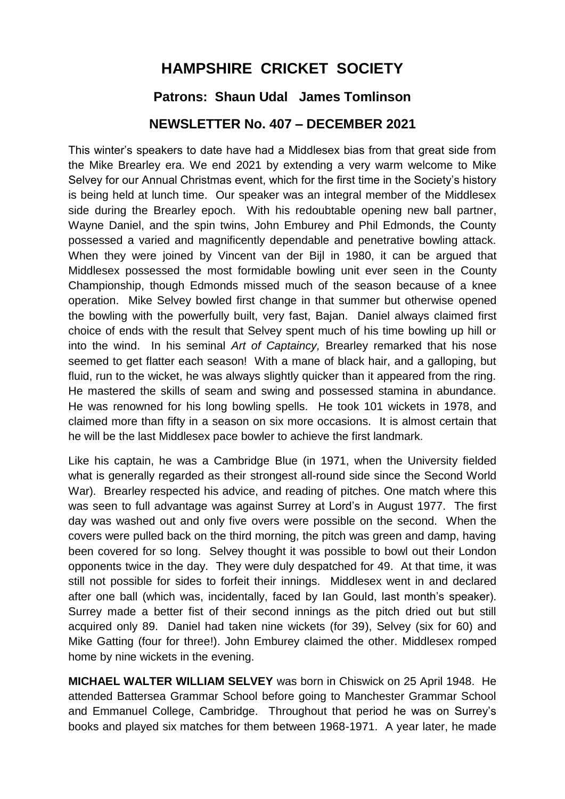## **HAMPSHIRE CRICKET SOCIETY Patrons: Shaun Udal James Tomlinson**

## **NEWSLETTER No. 407 – DECEMBER 2021**

This winter's speakers to date have had a Middlesex bias from that great side from the Mike Brearley era. We end 2021 by extending a very warm welcome to Mike Selvey for our Annual Christmas event, which for the first time in the Society's history is being held at lunch time. Our speaker was an integral member of the Middlesex side during the Brearley epoch. With his redoubtable opening new ball partner, Wayne Daniel, and the spin twins, John Emburey and Phil Edmonds, the County possessed a varied and magnificently dependable and penetrative bowling attack. When they were joined by Vincent van der Bijl in 1980, it can be argued that Middlesex possessed the most formidable bowling unit ever seen in the County Championship, though Edmonds missed much of the season because of a knee operation. Mike Selvey bowled first change in that summer but otherwise opened the bowling with the powerfully built, very fast, Bajan. Daniel always claimed first choice of ends with the result that Selvey spent much of his time bowling up hill or into the wind. In his seminal *Art of Captaincy,* Brearley remarked that his nose seemed to get flatter each season! With a mane of black hair, and a galloping, but fluid, run to the wicket, he was always slightly quicker than it appeared from the ring. He mastered the skills of seam and swing and possessed stamina in abundance. He was renowned for his long bowling spells. He took 101 wickets in 1978, and claimed more than fifty in a season on six more occasions. It is almost certain that he will be the last Middlesex pace bowler to achieve the first landmark.

Like his captain, he was a Cambridge Blue (in 1971, when the University fielded what is generally regarded as their strongest all-round side since the Second World War). Brearley respected his advice, and reading of pitches. One match where this was seen to full advantage was against Surrey at Lord's in August 1977. The first day was washed out and only five overs were possible on the second. When the covers were pulled back on the third morning, the pitch was green and damp, having been covered for so long. Selvey thought it was possible to bowl out their London opponents twice in the day. They were duly despatched for 49. At that time, it was still not possible for sides to forfeit their innings. Middlesex went in and declared after one ball (which was, incidentally, faced by Ian Gould, last month's speaker). Surrey made a better fist of their second innings as the pitch dried out but still acquired only 89. Daniel had taken nine wickets (for 39), Selvey (six for 60) and Mike Gatting (four for three!). John Emburey claimed the other. Middlesex romped home by nine wickets in the evening.

**MICHAEL WALTER WILLIAM SELVEY** was born in Chiswick on 25 April 1948. He attended Battersea Grammar School before going to Manchester Grammar School and Emmanuel College, Cambridge. Throughout that period he was on Surrey's books and played six matches for them between 1968-1971. A year later, he made